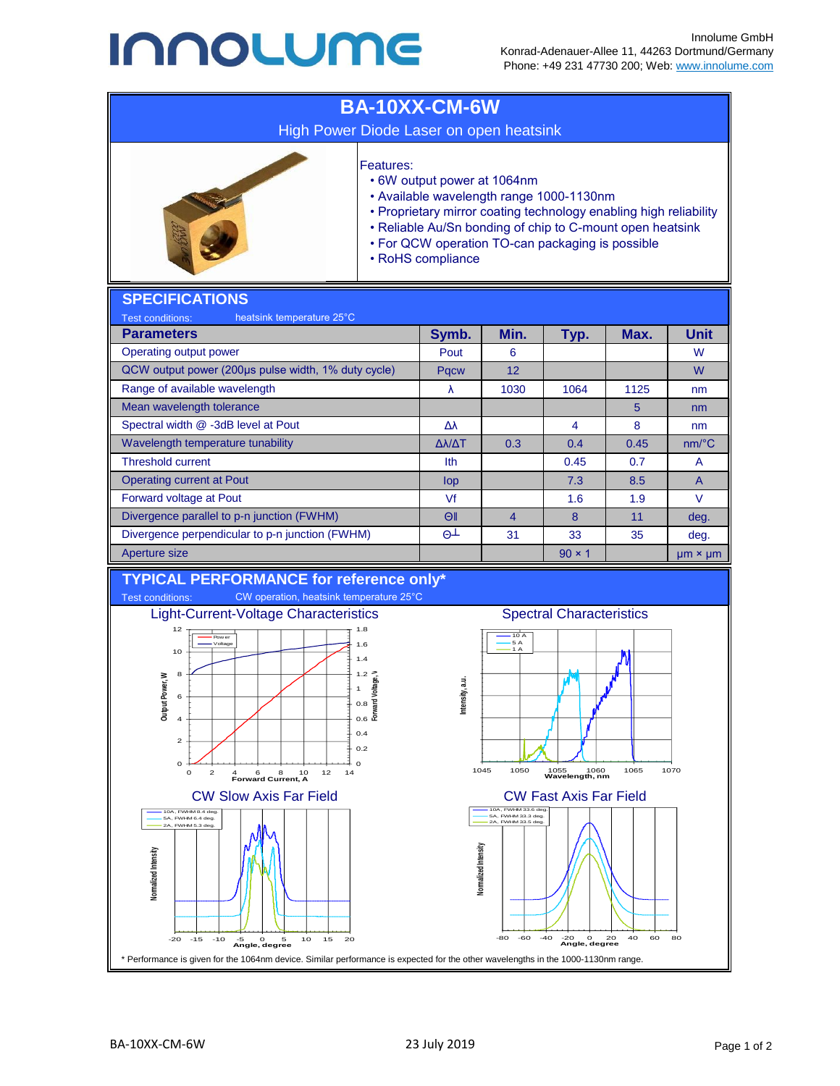## **INNOLUME**



**Angle, degree**

-80 -60 -40 -20 0 20 40 60 80 **Angle, degree**

\* Performance is given for the 1064nm device. Similar performance is expected for the other wavelengths in the 1000-1130nm range.